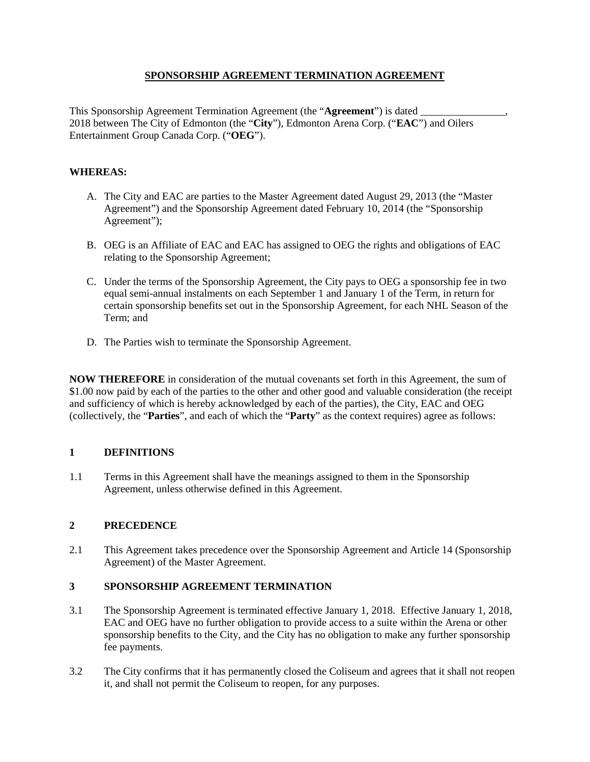## **SPONSORSHIP AGREEMENT TERMINATION AGREEMENT**

This Sponsorship Agreement Termination Agreement (the "Agreement") is dated 2018 between The City of Edmonton (the "**City**"), Edmonton Arena Corp. ("**EAC**") and Oilers Entertainment Group Canada Corp. ("**OEG**").

## **WHEREAS:**

- A. The City and EAC are parties to the Master Agreement dated August 29, 2013 (the "Master Agreement") and the Sponsorship Agreement dated February 10, 2014 (the "Sponsorship Agreement");
- B. OEG is an Affiliate of EAC and EAC has assigned to OEG the rights and obligations of EAC relating to the Sponsorship Agreement;
- C. Under the terms of the Sponsorship Agreement, the City pays to OEG a sponsorship fee in two equal semi-annual instalments on each September 1 and January 1 of the Term, in return for certain sponsorship benefits set out in the Sponsorship Agreement, for each NHL Season of the Term; and
- D. The Parties wish to terminate the Sponsorship Agreement.

**NOW THEREFORE** in consideration of the mutual covenants set forth in this Agreement, the sum of \$1.00 now paid by each of the parties to the other and other good and valuable consideration (the receipt and sufficiency of which is hereby acknowledged by each of the parties), the City, EAC and OEG (collectively, the "**Parties**", and each of which the "**Party**" as the context requires) agree as follows:

# **1 DEFINITIONS**

1.1 Terms in this Agreement shall have the meanings assigned to them in the Sponsorship Agreement, unless otherwise defined in this Agreement.

## **2 PRECEDENCE**

2.1 This Agreement takes precedence over the Sponsorship Agreement and Article 14 (Sponsorship Agreement) of the Master Agreement.

## **3 SPONSORSHIP AGREEMENT TERMINATION**

- 3.1 The Sponsorship Agreement is terminated effective January 1, 2018. Effective January 1, 2018, EAC and OEG have no further obligation to provide access to a suite within the Arena or other sponsorship benefits to the City, and the City has no obligation to make any further sponsorship fee payments.
- 3.2 The City confirms that it has permanently closed the Coliseum and agrees that it shall not reopen it, and shall not permit the Coliseum to reopen, for any purposes.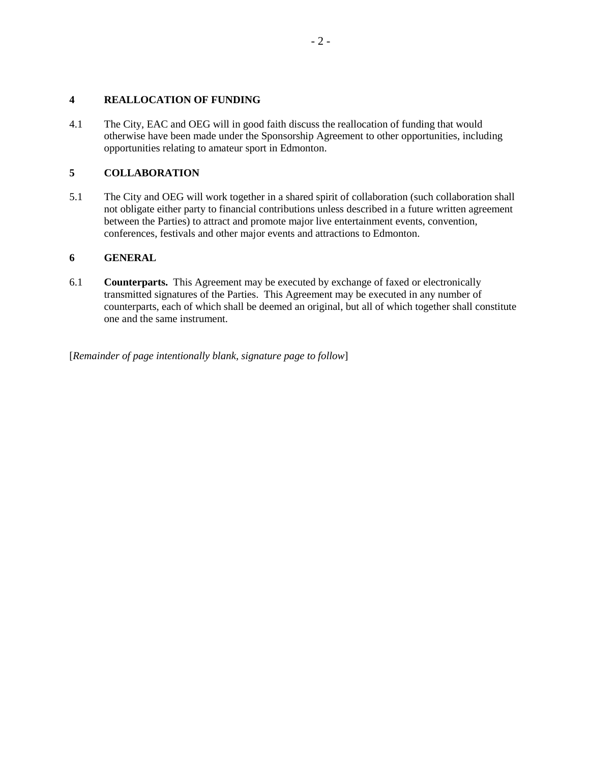## **4 REALLOCATION OF FUNDING**

4.1 The City, EAC and OEG will in good faith discuss the reallocation of funding that would otherwise have been made under the Sponsorship Agreement to other opportunities, including opportunities relating to amateur sport in Edmonton.

## **5 COLLABORATION**

5.1 The City and OEG will work together in a shared spirit of collaboration (such collaboration shall not obligate either party to financial contributions unless described in a future written agreement between the Parties) to attract and promote major live entertainment events, convention, conferences, festivals and other major events and attractions to Edmonton.

## **6 GENERAL**

6.1 **Counterparts.** This Agreement may be executed by exchange of faxed or electronically transmitted signatures of the Parties. This Agreement may be executed in any number of counterparts, each of which shall be deemed an original, but all of which together shall constitute one and the same instrument.

[*Remainder of page intentionally blank, signature page to follow*]